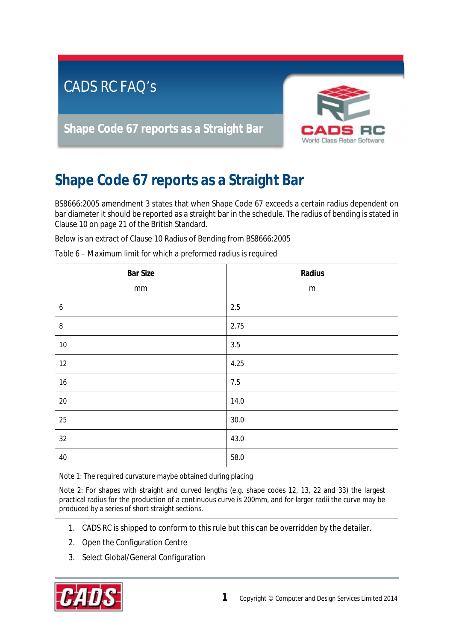

## **Shape Code 67 reports as a Straight Bar**

BS8666:2005 amendment 3 states that when Shape Code 67 exceeds a certain radius dependent on bar diameter it should be reported as a straight bar in the schedule. The radius of bending is stated in Clause 10 on page 21 of the British Standard.

Below is an extract of Clause 10 Radius of Bending from BS8666:2005

| Table 6 – Maximum limit for which a preformed radius is required |  |
|------------------------------------------------------------------|--|
|------------------------------------------------------------------|--|

| <b>Bar Size</b>  | Radius    |
|------------------|-----------|
| mm               | ${\sf m}$ |
| $\boldsymbol{6}$ | 2.5       |
| $\bf 8$          | 2.75      |
| $10\,$           | $3.5\,$   |
| 12               | 4.25      |
| $16\,$           | 7.5       |
| $20\,$           | 14.0      |
| 25               | 30.0      |
| 32               | 43.0      |
| 40               | 58.0      |

Note 1: The required curvature maybe obtained during placing

Note 2: For shapes with straight and curved lengths (e.g. shape codes 12, 13, 22 and 33) the largest practical radius for the production of a continuous curve is 200mm, and for larger radii the curve may be produced by a series of short straight sections.

- 1. CADS RC is shipped to conform to this rule but this can be overridden by the detailer.
- 2. Open the Configuration Centre
- 3. Select Global/General Configuration

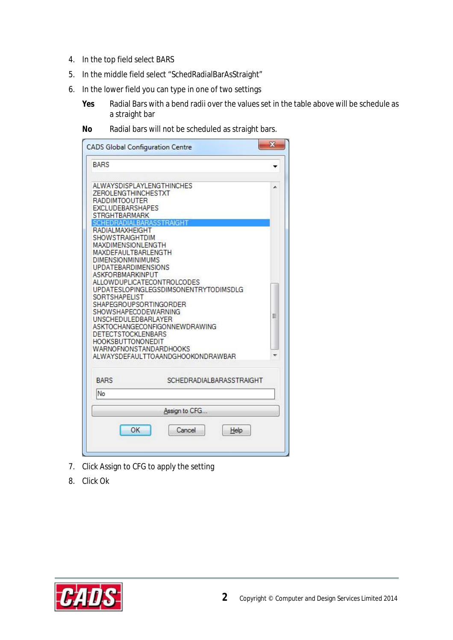- 4. In the top field select BARS
- 5. In the middle field select "SchedRadialBarAsStraight"
- 6. In the lower field you can type in one of two settings
	- **Yes** Radial Bars with a bend radii over the values set in the table above will be schedule as a straight bar
	- **No** Radial bars will not be scheduled as straight bars.

| <b>BARS</b><br>ALWAYSDISPLAYLENGTHINCHES<br>ZEROLENGTHINCHESTXT<br><b>RADDIMTOOUTER</b><br><b>EXCLUDEBARSHAPES</b><br>STRGHTBARMARK<br>BARASSTRAIGHT<br>RADIAI MAXHFIGHT<br>SHOWSTRAIGHTDIM<br>MAXDIMENSIONLENGTH<br>MAXDEFAULTBARLENGTH<br><b>DIMENSIONMINIMUMS</b><br><b>UPDATEBARDIMENSIONS</b><br><b>ASKFORBMARKINPUT</b><br>ALLOWDUPLICATECONTROLCODES<br>UPDATESLOPINGLEGSDIMSONENTRYTODIMSDLG<br>SORTSHAPELIST<br>SHAPEGROUPSORTINGORDER<br>SHOWSHAPECODEWARNING<br>Ξ<br>UNSCHEDULEDBARLAYER<br><b>ASKTOCHANGECONEIGONNEWDRAWING</b><br>DETECTSTOCKLENBARS<br><b>HOOKSBUTTONONEDIT</b><br><b>WARNOFNONSTANDARDHOOKS</b><br>ALWAYSDEFAULTTOAANDGHOOKONDRAWBAR<br>SCHEDRADIALBARASSTRAIGHT<br><b>BARS</b><br>No<br>Assign to CFG<br>OK<br>Cancel<br>Help | <b>CADS Global Configuration Centre</b> | × |
|---------------------------------------------------------------------------------------------------------------------------------------------------------------------------------------------------------------------------------------------------------------------------------------------------------------------------------------------------------------------------------------------------------------------------------------------------------------------------------------------------------------------------------------------------------------------------------------------------------------------------------------------------------------------------------------------------------------------------------------------------------------|-----------------------------------------|---|
|                                                                                                                                                                                                                                                                                                                                                                                                                                                                                                                                                                                                                                                                                                                                                               |                                         |   |
|                                                                                                                                                                                                                                                                                                                                                                                                                                                                                                                                                                                                                                                                                                                                                               |                                         |   |
|                                                                                                                                                                                                                                                                                                                                                                                                                                                                                                                                                                                                                                                                                                                                                               |                                         |   |
|                                                                                                                                                                                                                                                                                                                                                                                                                                                                                                                                                                                                                                                                                                                                                               |                                         |   |
|                                                                                                                                                                                                                                                                                                                                                                                                                                                                                                                                                                                                                                                                                                                                                               |                                         |   |
|                                                                                                                                                                                                                                                                                                                                                                                                                                                                                                                                                                                                                                                                                                                                                               |                                         |   |
|                                                                                                                                                                                                                                                                                                                                                                                                                                                                                                                                                                                                                                                                                                                                                               |                                         |   |
|                                                                                                                                                                                                                                                                                                                                                                                                                                                                                                                                                                                                                                                                                                                                                               |                                         |   |

- 7. Click Assign to CFG to apply the setting
- 8. Click Ok